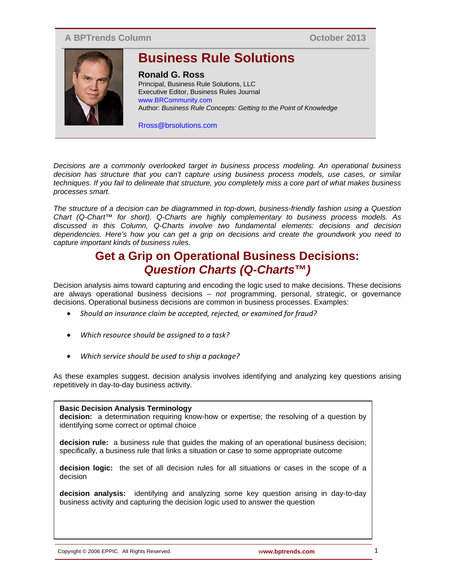## **A BPTrends Column**

**October 2013**



# **Business Rule Solutions**

### **Ronald G. Ross**

Principal, Business Rule Solutions, LLC Executive Editor, Business Rules Journal www.BRCommunity.com Author: *Business Rule Concepts: Getting to the Point of Knowledge*

Rross@brsolutions.com

*Decisions are a commonly overlooked target in business process modeling. An operational business decision has structure that you can't capture using business process models, use cases, or similar techniques. If you fail to delineate that structure, you completely miss a core part of what makes business processes smart.* 

*The structure of a decision can be diagrammed in top-down, business-friendly fashion using a Question Chart (Q-Chart™ for short). Q-Charts are highly complementary to business process models. As discussed in this Column, Q-Charts involve two fundamental elements: decisions and decision dependencies. Here's how you can get a grip on decisions and create the groundwork you need to capture important kinds of business rules.*

# **Get a Grip on Operational Business Decisions:** *Question Charts (Q-Charts***™***)*

Decision analysis aims toward capturing and encoding the logic used to make decisions. These decisions are always operational business decisions – *not* programming, personal, strategic, or governance decisions. Operational business decisions are common in business processes. Examples:

- *Should an insurance claim be accepted, rejected, or examined for fraud?*
- *Which resource should be assigned to a task?*
- *Which service should be used to ship a package?*

As these examples suggest, decision analysis involves identifying and analyzing key questions arising repetitively in day-to-day business activity.

Figure 1. Example of a Q-COE **Basic Decision Analysis Terminology decision:** a determination requiring know-how or expertise; the resolving of a question by identifying some correct or optimal choice **decision rule:** a business rule that guides the making of an operational business decision; specifically, a business rule that links a situation or case to some appropriate outcome **decision logic:** the set of all decision rules for all situations or cases in the scope of a decision **decision analysis:** identifying and analyzing some key question arising in day-to-day business activity and capturing the decision logic used to answer the question

Copyright © 2006 EPPIC. All Rights Reserved. **www.bptrends.com** 1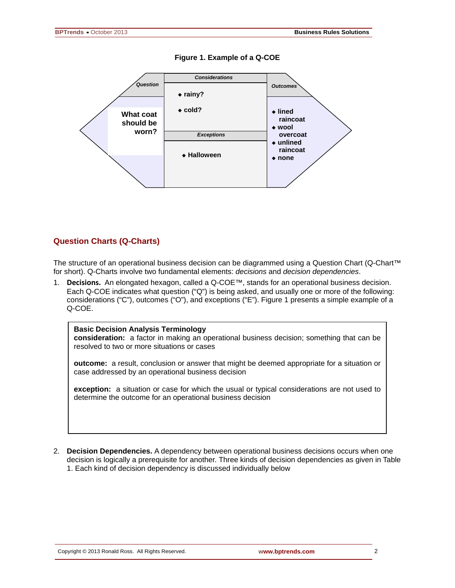

**Figure 1. Example of a Q-COE**

#### **Question Charts (Q-Charts)**

The structure of an operational business decision can be diagrammed using a Question Chart (Q-Chart™ for short). Q-Charts involve two fundamental elements: *decisions* and *decision dependencies*.

1. **Decisions.** An elongated hexagon, called a Q-COE™, stands for an operational business decision. Each Q-COE indicates what question ("Q") is being asked, and usually one or more of the following: considerations ("C"), outcomes ("O"), and exceptions ("E"). Figure 1 presents a simple example of a Q-COE.

#### **Basic Decision Analysis Terminology**

**consideration:** a factor in making an operational business decision; something that can be resolved to two or more situations or cases

**outcome:** a result, conclusion or answer that might be deemed appropriate for a situation or case addressed by an operational business decision

**exception:** a situation or case for which the usual or typical considerations are not used to determine the outcome for an operational business decision

2. **Decision Dependencies.** A dependency between operational business decisions occurs when one decision is logically a prerequisite for another. Three kinds of decision dependencies as given in Table 1. Each kind of decision dependency is discussed individually below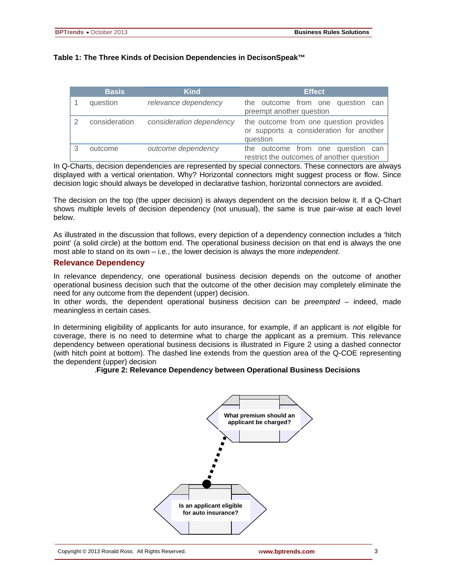#### **Table 1: The Three Kinds of Decision Dependencies in DecisonSpeak™**

| <b>Basis</b>  | <b>Kind</b>              | <b>Effect</b>                                                                                 |
|---------------|--------------------------|-----------------------------------------------------------------------------------------------|
| question      | relevance dependency     | the outcome from one question<br>can<br>preempt another question                              |
| consideration | consideration dependency | the outcome from one question provides<br>or supports a consideration for another<br>question |
| outcome       | outcome dependency       | the outcome from one question can<br>restrict the outcomes of another question                |

In Q-Charts, decision dependencies are represented by special connectors. These connectors are always displayed with a vertical orientation. Why? Horizontal connectors might suggest process or flow. Since decision logic should always be developed in declarative fashion, horizontal connectors are avoided.

The decision on the top (the upper decision) is always dependent on the decision below it. If a Q-Chart shows multiple levels of decision dependency (not unusual), the same is true pair-wise at each level below.

As illustrated in the discussion that follows, every depiction of a dependency connection includes a 'hitch point' (a solid circle) at the bottom end. The operational business decision on that end is always the one most able to stand on its own – i.e., the lower decision is always the more *independent*.

### **Relevance Dependency**

In relevance dependency, one operational business decision depends on the outcome of another operational business decision such that the outcome of the other decision may completely eliminate the need for any outcome from the dependent (upper) decision.

In other words, the dependent operational business decision can be *preempted* – indeed, made meaningless in certain cases.

In determining eligibility of applicants for auto insurance, for example, if an applicant is *not* eligible for coverage, there is no need to determine what to charge the applicant as a premium. This relevance dependency between operational business decisions is illustrated in Figure 2 using a dashed connector (with hitch point at bottom). The dashed line extends from the question area of the Q-COE representing the dependent (upper) decision

#### .**Figure 2: Relevance Dependency between Operational Business Decisions**

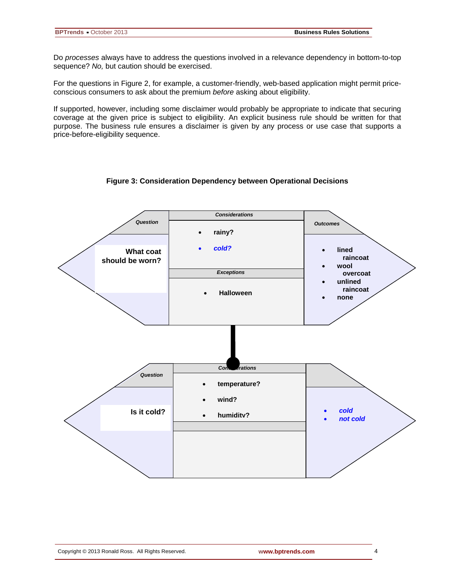Do *processes* always have to address the questions involved in a relevance dependency in bottom-to-top sequence? *No,* but caution should be exercised.

For the questions in Figure 2, for example, a customer-friendly, web-based application might permit priceconscious consumers to ask about the premium *before* asking about eligibility.

If supported, however, including some disclaimer would probably be appropriate to indicate that securing coverage at the given price is subject to eligibility. An explicit business rule should be written for that purpose. The business rule ensures a disclaimer is given by any process or use case that supports a price-before-eligibility sequence.

#### **Figure 3: Consideration Dependency between Operational Decisions**

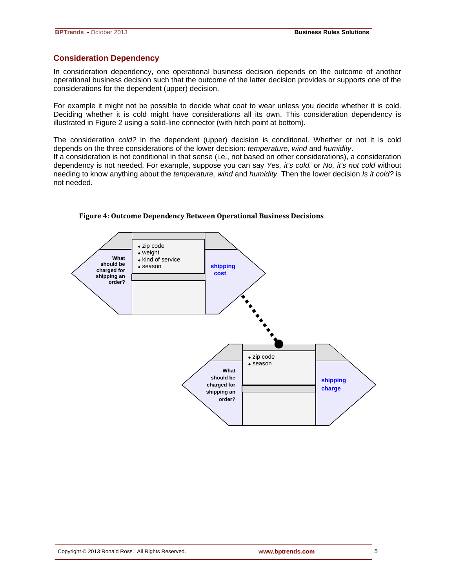#### **Consideration Dependency**

In consideration dependency, one operational business decision depends on the outcome of another operational business decision such that the outcome of the latter decision provides or supports one of the considerations for the dependent (upper) decision.

For example it might not be possible to decide what coat to wear unless you decide whether it is cold. Deciding whether it is cold might have considerations all its own. This consideration dependency is illustrated in Figure 2 using a solid-line connector (with hitch point at bottom).

The consideration *cold?* in the dependent (upper) decision is conditional. Whether or not it is cold depends on the three considerations of the lower decision: *temperature, wind* and *humidity*.

If a consideration is not conditional in that sense (i.e., not based on other considerations), a consideration dependency is not needed. For example, suppose you can say *Yes, it's cold.* or *No, it's not cold* without needing to know anything about the *temperature, wind* and *humidity.* Then the lower decision *Is it cold?* is not needed.



#### **Figure 4: Outcome Dependency Between Operational Business Decisions**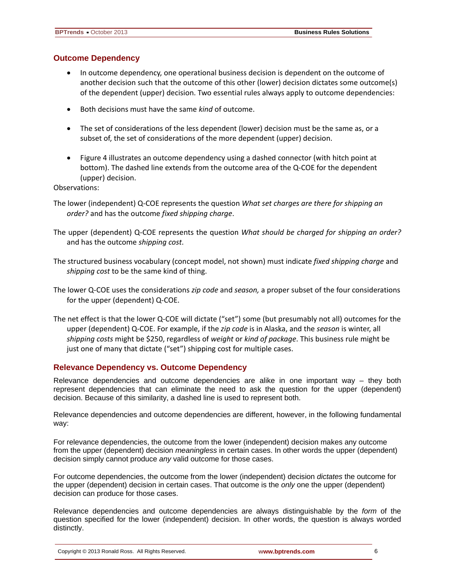### **Outcome Dependency**

- In outcome dependency, one operational business decision is dependent on the outcome of another decision such that the outcome of this other (lower) decision dictates some outcome(s) of the dependent (upper) decision. Two essential rules always apply to outcome dependencies:
- Both decisions must have the same *kind* of outcome.
- The set of considerations of the less dependent (lower) decision must be the same as, or a subset of, the set of considerations of the more dependent (upper) decision.
- Figure 4 illustrates an outcome dependency using a dashed connector (with hitch point at bottom). The dashed line extends from the outcome area of the Q-COE for the dependent (upper) decision.

Observations:

- The lower (independent) Q-COE represents the question *What set charges are there for shipping an order?* and has the outcome *fixed shipping charge*.
- The upper (dependent) Q-COE represents the question *What should be charged for shipping an order?* and has the outcome *shipping cost*.
- The structured business vocabulary (concept model, not shown) must indicate *fixed shipping charge* and *shipping cost* to be the same kind of thing.
- The lower Q-COE uses the considerations *zip code* and *season,* a proper subset of the four considerations for the upper (dependent) Q-COE.
- The net effect is that the lower Q-COE will dictate ("set") some (but presumably not all) outcomes for the upper (dependent) Q-COE. For example, if the *zip code* is in Alaska, and the *season* is winter, all *shipping costs* might be \$250, regardless of *weight* or *kind of package*. This business rule might be just one of many that dictate ("set") shipping cost for multiple cases.

### **Relevance Dependency vs. Outcome Dependency**

Relevance dependencies and outcome dependencies are alike in one important way – they both represent dependencies that can eliminate the need to ask the question for the upper (dependent) decision. Because of this similarity, a dashed line is used to represent both.

Relevance dependencies and outcome dependencies are different, however, in the following fundamental way:

For relevance dependencies, the outcome from the lower (independent) decision makes any outcome from the upper (dependent) decision *meaningless* in certain cases. In other words the upper (dependent) decision simply cannot produce *any* valid outcome for those cases.

For outcome dependencies, the outcome from the lower (independent) decision *dictates* the outcome for the upper (dependent) decision in certain cases. That outcome is the *only* one the upper (dependent) decision can produce for those cases.

Relevance dependencies and outcome dependencies are always distinguishable by the *form* of the question specified for the lower (independent) decision. In other words, the question is always worded distinctly.